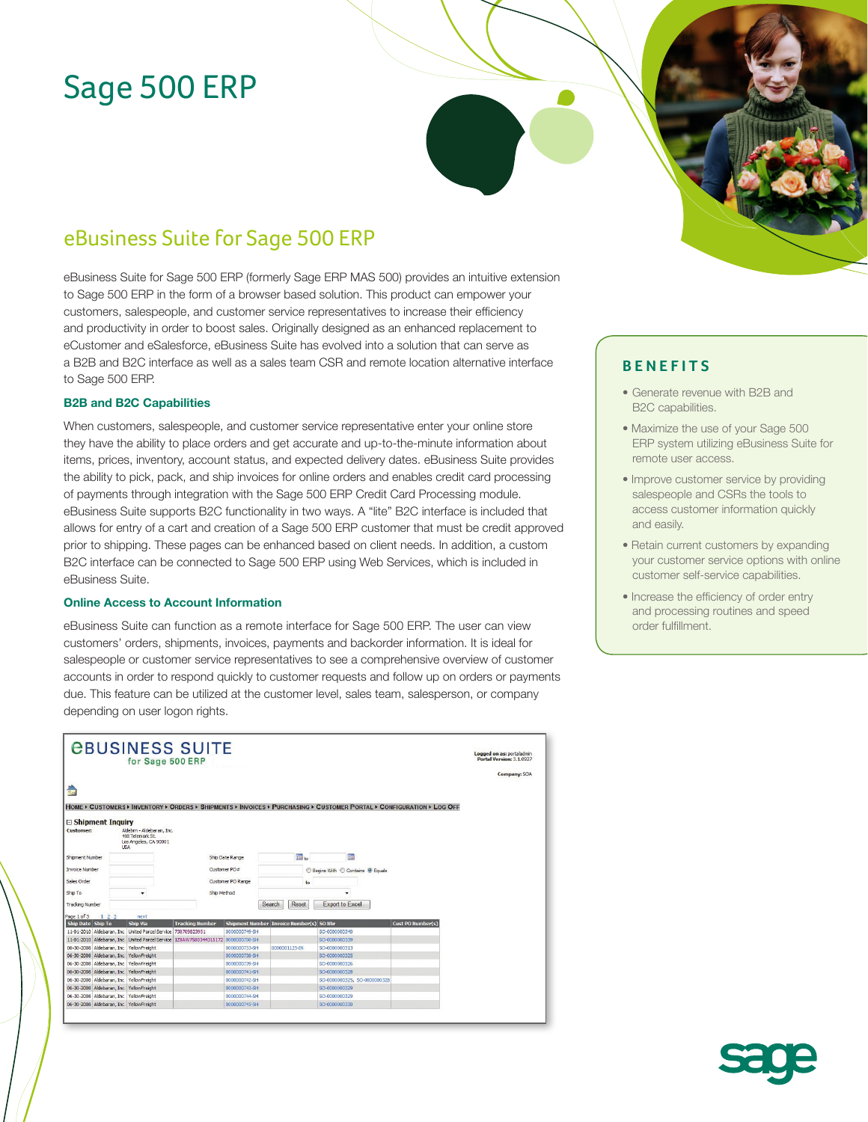# Sage 500 ERP

## eBusiness Suite for Sage 500 ERP

eBusiness Suite for Sage 500 ERP (formerly Sage ERP MAS 500) provides an intuitive extension to Sage 500 ERP in the form of a browser based solution. This product can empower your customers, salespeople, and customer service representatives to increase their efficiency and productivity in order to boost sales. Originally designed as an enhanced replacement to eCustomer and eSalesforce, eBusiness Suite has evolved into a solution that can serve as a B2B and B2C interface as well as a sales team CSR and remote location alternative interface to Sage 500 ERP.

#### **B2B and B2C Capabilities**

When customers, salespeople, and customer service representative enter your online store they have the ability to place orders and get accurate and up-to-the-minute information about items, prices, inventory, account status, and expected delivery dates. eBusiness Suite provides the ability to pick, pack, and ship invoices for online orders and enables credit card processing of payments through integration with the Sage 500 ERP Credit Card Processing module. eBusiness Suite supports B2C functionality in two ways. A "lite" B2C interface is included that allows for entry of a cart and creation of a Sage 500 ERP customer that must be credit approved prior to shipping. These pages can be enhanced based on client needs. In addition, a custom B2C interface can be connected to Sage 500 ERP using Web Services, which is included in eBusiness Suite.

#### **Online Access to Account Information**

eBusiness Suite can function as a remote interface for Sage 500 ERP. The user can view customers' orders, shipments, invoices, payments and backorder information. It is ideal for salespeople or customer service representatives to see a comprehensive overview of customer accounts in order to respond quickly to customer requests and follow up on orders or payments due. This feature can be utilized at the customer level, sales team, salesperson, or company depending on user logon rights.

|                                  |                                          | for Sage 500 ERP                                                       | <b><i><u>CBUSINESS SUITE</u></i></b>                                             |                                                           |                               |               |                                                                                                                       |                          | Logged on as: portaladmin<br>Portal Version: 3.1.0927 |
|----------------------------------|------------------------------------------|------------------------------------------------------------------------|----------------------------------------------------------------------------------|-----------------------------------------------------------|-------------------------------|---------------|-----------------------------------------------------------------------------------------------------------------------|--------------------------|-------------------------------------------------------|
| $\frac{1}{2}$                    |                                          |                                                                        |                                                                                  |                                                           |                               |               |                                                                                                                       |                          | Company: SOA                                          |
|                                  |                                          |                                                                        |                                                                                  |                                                           |                               |               | HOME > CUSTOMERS > INVENTORY > ORDERS > SHIPMENTS > INVOICES > PURCHASING > CUSTOMER PORTAL > CONFIGURATION > LOG OFF |                          |                                                       |
|                                  | $\boxdot$ Shipment Inquiry               |                                                                        |                                                                                  |                                                           |                               |               |                                                                                                                       |                          |                                                       |
| <b>Customer:</b>                 | <b>USA</b>                               | Aldebrn - Aldebaran, Inc.<br>498 Telemark St.<br>Los Angeles, CA 90001 |                                                                                  |                                                           |                               |               |                                                                                                                       |                          |                                                       |
| Shipment Number                  |                                          |                                                                        |                                                                                  | Ship Date Range                                           |                               | Ein to        | m                                                                                                                     |                          |                                                       |
| <b>Invoice Number</b>            |                                          |                                                                        |                                                                                  | Customer PO#                                              | Begins With Contains C Equals |               |                                                                                                                       |                          |                                                       |
| Sales Order                      |                                          |                                                                        |                                                                                  | Customer PO Range                                         | to                            |               |                                                                                                                       |                          |                                                       |
| Ship To                          |                                          | ۰                                                                      | Ship Method                                                                      |                                                           |                               |               | ۰                                                                                                                     |                          |                                                       |
| <b>Tracking Number</b>           |                                          |                                                                        |                                                                                  | Search                                                    |                               | Reset         | <b>Export to Excel</b>                                                                                                |                          |                                                       |
|                                  |                                          |                                                                        |                                                                                  |                                                           |                               |               |                                                                                                                       |                          |                                                       |
| Page 1 of 3<br>Ship Date Ship To | 123                                      | next<br><b>Ship Via</b>                                                | <b>Tracking Number</b>                                                           |                                                           |                               |               |                                                                                                                       | <b>Cust PO Number(s)</b> |                                                       |
|                                  |                                          | 11-01-2010 Aldebaran, Inc United Parcel Service 738709823951           |                                                                                  | Shipment Number Invoice Number(s) SO Nbr<br>0000000749-SH |                               |               | SQ-0000000340                                                                                                         |                          |                                                       |
|                                  |                                          |                                                                        | 11-01-2010 Aldebaran, Inc United Parcel Service 128AW7580344315172 0000000750-SH |                                                           |                               |               | \$0-0000000339                                                                                                        |                          |                                                       |
|                                  | 06-30-2008 Aldebaran, Inc. YellowFreight |                                                                        |                                                                                  | 0000000733-5H                                             |                               | 0000001125-IN | SO-0000000313                                                                                                         |                          |                                                       |
|                                  | 06-30-2008 Aldebaran, Inc. YellowFreight |                                                                        |                                                                                  | 0000000738-SH                                             |                               |               | SO-0000000325                                                                                                         |                          |                                                       |
|                                  | 06-30-2008 Aldebaran, Inc. YellowFreight |                                                                        |                                                                                  | 0000000739-SH                                             |                               |               | \$Q-0000000326                                                                                                        |                          |                                                       |
|                                  | 06-30-2008 Aldebaran, Inc YellowFreight  |                                                                        |                                                                                  | 0000000741-SH                                             |                               |               | SO-0000000328                                                                                                         |                          |                                                       |
|                                  | 06-30-2008 Aldebaran, Inc. YellowFreight |                                                                        |                                                                                  | 0000000742-SH                                             |                               |               | SO-0000000325, SO-0000000328                                                                                          |                          |                                                       |
|                                  | 06-30-2008 Aldebaran, Inc. YellowFreight |                                                                        |                                                                                  | 0000000743-SH                                             |                               |               | SQ-0000000329                                                                                                         |                          |                                                       |
|                                  | 06-30-2008 Aldebaran, Inc YellowFreight  |                                                                        |                                                                                  | 0000000744-SH                                             |                               |               | \$Q-0000000329                                                                                                        |                          |                                                       |
|                                  | 06-30-2008 Aldebaran, Inc YellowFreight  |                                                                        |                                                                                  | 0000000745-SH                                             |                               |               | SO-0000000330                                                                                                         |                          |                                                       |

#### **BENEFITS**

- Generate revenue with B2B and B2C capabilities.
- Maximize the use of your Sage 500 ERP system utilizing eBusiness Suite for remote user access.
- Improve customer service by providing salespeople and CSRs the tools to access customer information quickly and easily.
- Retain current customers by expanding your customer service options with online customer self-service capabilities.
- Increase the efficiency of order entry and processing routines and speed order fulfillment.